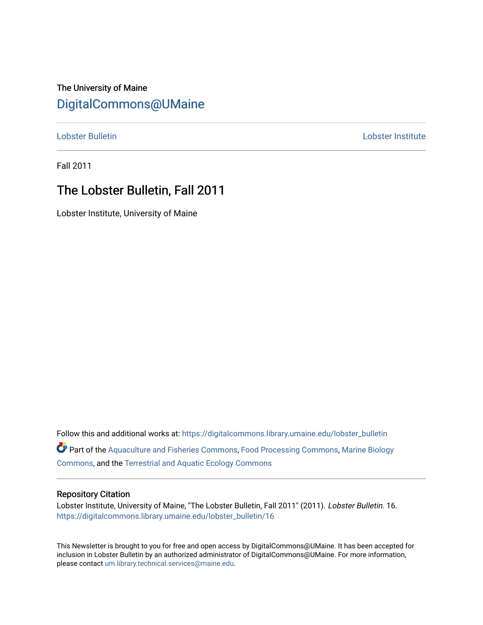# The University of Maine [DigitalCommons@UMaine](https://digitalcommons.library.umaine.edu/)

[Lobster Bulletin](https://digitalcommons.library.umaine.edu/lobster_bulletin) [Lobster Institute](https://digitalcommons.library.umaine.edu/lobster) 

Fall 2011

## The Lobster Bulletin, Fall 2011

Lobster Institute, University of Maine

Follow this and additional works at: [https://digitalcommons.library.umaine.edu/lobster\\_bulletin](https://digitalcommons.library.umaine.edu/lobster_bulletin?utm_source=digitalcommons.library.umaine.edu%2Flobster_bulletin%2F16&utm_medium=PDF&utm_campaign=PDFCoverPages) Part of the [Aquaculture and Fisheries Commons](http://network.bepress.com/hgg/discipline/78?utm_source=digitalcommons.library.umaine.edu%2Flobster_bulletin%2F16&utm_medium=PDF&utm_campaign=PDFCoverPages), [Food Processing Commons,](http://network.bepress.com/hgg/discipline/85?utm_source=digitalcommons.library.umaine.edu%2Flobster_bulletin%2F16&utm_medium=PDF&utm_campaign=PDFCoverPages) [Marine Biology](http://network.bepress.com/hgg/discipline/1126?utm_source=digitalcommons.library.umaine.edu%2Flobster_bulletin%2F16&utm_medium=PDF&utm_campaign=PDFCoverPages) [Commons](http://network.bepress.com/hgg/discipline/1126?utm_source=digitalcommons.library.umaine.edu%2Flobster_bulletin%2F16&utm_medium=PDF&utm_campaign=PDFCoverPages), and the [Terrestrial and Aquatic Ecology Commons](http://network.bepress.com/hgg/discipline/20?utm_source=digitalcommons.library.umaine.edu%2Flobster_bulletin%2F16&utm_medium=PDF&utm_campaign=PDFCoverPages) 

#### Repository Citation

Lobster Institute, University of Maine, "The Lobster Bulletin, Fall 2011" (2011). Lobster Bulletin. 16. [https://digitalcommons.library.umaine.edu/lobster\\_bulletin/16](https://digitalcommons.library.umaine.edu/lobster_bulletin/16?utm_source=digitalcommons.library.umaine.edu%2Flobster_bulletin%2F16&utm_medium=PDF&utm_campaign=PDFCoverPages) 

This Newsletter is brought to you for free and open access by DigitalCommons@UMaine. It has been accepted for inclusion in Lobster Bulletin by an authorized administrator of DigitalCommons@UMaine. For more information, please contact [um.library.technical.services@maine.edu.](mailto:um.library.technical.services@maine.edu)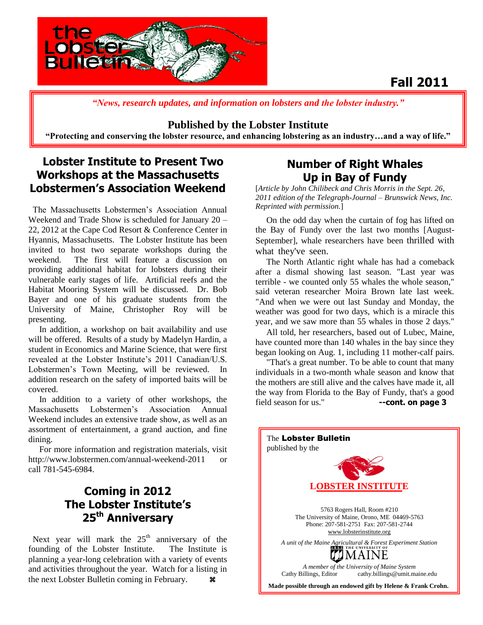

# **Fall 2011**

*"News, research updates, and information on lobsters and the lobster industry."*

#### **Published by the Lobster Institute**

**"Protecting and conserving the lobster resource, and enhancing lobstering as an industry…and a way of life."**

## **Lobster Institute to Present Two Workshops at the Massachusetts Lobstermen's Association Weekend**

 The Massachusetts Lobstermen's Association Annual Weekend and Trade Show is scheduled for January 20 – 22, 2012 at the Cape Cod Resort & Conference Center in Hyannis, Massachusetts. The Lobster Institute has been invited to host two separate workshops during the weekend. The first will feature a discussion on providing additional habitat for lobsters during their vulnerable early stages of life. Artificial reefs and the Habitat Mooring System will be discussed. Dr. Bob Bayer and one of his graduate students from the University of Maine, Christopher Roy will be presenting.

 In addition, a workshop on bait availability and use will be offered. Results of a study by Madelyn Hardin, a student in Economics and Marine Science, that were first revealed at the Lobster Institute's 2011 Canadian/U.S. Lobstermen's Town Meeting, will be reviewed. In addition research on the safety of imported baits will be covered.

 In addition to a variety of other workshops, the Massachusetts Lobstermen's Association Annual Weekend includes an extensive trade show, as well as an assortment of entertainment, a grand auction, and fine dining.

 For more information and registration materials, visit http://www.lobstermen.com/annual-weekend-2011 or call 781-545-6984.

## **Coming in 2012 The Lobster Institute's 25th Anniversary**

Next year will mark the  $25<sup>th</sup>$  anniversary of the founding of the Lobster Institute. The Institute is planning a year-long celebration with a variety of events and activities throughout the year. Watch for a listing in the next Lobster Bulletin coming in February.

## **Number of Right Whales Up in Bay of Fundy**

[*Article by John Chilibeck and Chris Morris in the Sept. 26, 2011 edition of the Telegraph-Journal – Brunswick News, Inc. Reprinted with permission.*]

 On the odd day when the curtain of fog has lifted on the Bay of Fundy over the last two months [August-September], whale researchers have been thrilled with what they've seen.

 The North Atlantic right whale has had a comeback after a dismal showing last season. "Last year was terrible - we counted only 55 whales the whole season," said veteran researcher Moira Brown late last week. "And when we were out last Sunday and Monday, the weather was good for two days, which is a miracle this year, and we saw more than 55 whales in those 2 days."

 All told, her researchers, based out of Lubec, Maine, have counted more than 140 whales in the bay since they began looking on Aug. 1, including 11 mother-calf pairs.

 "That's a great number. To be able to count that many individuals in a two-month whale season and know that the mothers are still alive and the calves have made it, all the way from Florida to the Bay of Fundy, that's a good field season for us." **--cont. on page 3**

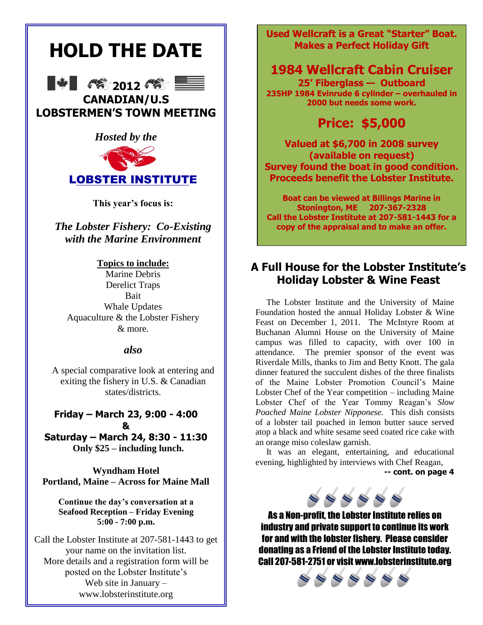# **HOLD THE DATE**





**CANADIAN/U.S LOBSTERMEN'S TOWN MEETING**

### *Hosted by the*



**This year's focus is:** 

*The Lobster Fishery: Co-Existing with the Marine Environment*

#### **Topics to include:**

Marine Debris Derelict Traps Bait Whale Updates Aquaculture & the Lobster Fishery & more.

#### *also*

A special comparative look at entering and exiting the fishery in U.S. & Canadian states/districts.

**Friday – March 23, 9:00 - 4:00 & Saturday – March 24, 8:30 - 11:30 Only \$25 – including lunch.**

**Wyndham Hotel Portland, Maine – Across for Maine Mall**

**Continue the day's conversation at a Seafood Reception – Friday Evening 5:00 - 7:00 p.m.**

Call the Lobster Institute at 207-581-1443 to get your name on the invitation list. More details and a registration form will be posted on the Lobster Institute's Web site in January – www.lobsterinstitute.org

**Used Wellcraft is a Great ―Starter‖ Boat. Makes a Perfect Holiday Gift**

# **1984 Wellcraft Cabin Cruiser**

**25' Fiberglass — Outboard 235HP 1984 Evinrude 6 cylinder – overhauled in 2000 but needs some work.**

# **Price: \$5,000**

**Valued at \$6,700 in 2008 survey (available on request) Survey found the boat in good condition. Proceeds benefit the Lobster Institute.**

**Boat can be viewed at Billings Marine in Stonington, ME 207-367-2328 Call the Lobster Institute at 207-581-1443 for a copy of the appraisal and to make an offer.**

## **A Full House for the Lobster Institute's Holiday Lobster & Wine Feast**

 The Lobster Institute and the University of Maine Foundation hosted the annual Holiday Lobster & Wine Feast on December 1, 2011. The McIntyre Room at Buchanan Alumni House on the University of Maine campus was filled to capacity, with over 100 in attendance. The premier sponsor of the event was Riverdale Mills, thanks to Jim and Betty Knott. The gala dinner featured the succulent dishes of the three finalists of the Maine Lobster Promotion Council's Maine Lobster Chef of the Year competition – including Maine Lobster Chef of the Year Tommy Reagan's *Slow Poached Maine Lobster Nipponese.* This dish consists of a lobster tail poached in lemon butter sauce served atop a black and white sesame seed coated rice cake with an orange miso coleslaw garnish.

 It was an elegant, entertaining, and educational evening, highlighted by interviews with Chef Reagan,

**-- cont. on page 4**



As a Non-profit, the Lobster Institute relies on industry and private support to continue its work for and with the lobster fishery. Please consider donating as a Friend of the Lobster Institute today. Call 207-581-2751 or visit www.lobsterinstitute.org

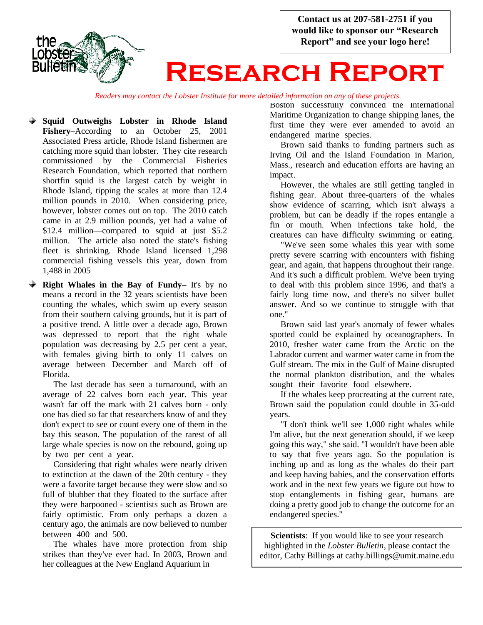



*Readers may contact the Lobster Institute for more detailed information on any of these projects.*

- **Squid Outweighs Lobster in Rhode Island Fishery–**According to an October 25, 2001 Associated Press article, Rhode Island fishermen are catching more squid than lobster. They cite research commissioned by the Commercial Fisheries Research Foundation, which reported that northern shortfin squid is the largest catch by weight in Rhode Island, tipping the scales at more than 12.4 million pounds in 2010. When considering price, however, lobster comes out on top. The 2010 catch came in at 2.9 million pounds, yet had a value of \$12.4 million—compared to squid at just \$5.2 million. The article also noted the state's fishing fleet is shrinking. Rhode Island licensed 1,298 commercial fishing vessels this year, down from 1,488 in 2005
- **Right Whales in the Bay of Fundy–** It's by no means a record in the 32 years scientists have been counting the whales, which swim up every season from their southern calving grounds, but it is part of a positive trend. A little over a decade ago, Brown was depressed to report that the right whale population was decreasing by 2.5 per cent a year, with females giving birth to only 11 calves on average between December and March off of Florida.

 The last decade has seen a turnaround, with an average of 22 calves born each year. This year wasn't far off the mark with 21 calves born - only one has died so far that researchers know of and they don't expect to see or count every one of them in the bay this season. The population of the rarest of all large whale species is now on the rebound, going up by two per cent a year.

 Considering that right whales were nearly driven to extinction at the dawn of the 20th century - they were a favorite target because they were slow and so full of blubber that they floated to the surface after they were harpooned - scientists such as Brown are fairly optimistic. From only perhaps a dozen a century ago, the animals are now believed to number between 400 and 500.

 The whales have more protection from ship strikes than they've ever had. In 2003, Brown and her colleagues at the New England Aquarium in

Boston successfully convinced the International Maritime Organization to change shipping lanes, the first time they were ever amended to avoid an endangered marine species. .

 Brown said thanks to funding partners such as Irving Oil and the Island Foundation in Marion, Mass., research and education efforts are having an impact.

 However, the whales are still getting tangled in fishing gear. About three-quarters of the whales show evidence of scarring, which isn't always a problem, but can be deadly if the ropes entangle a fin or mouth. When infections take hold, the creatures can have difficulty swimming or eating.

 "We've seen some whales this year with some pretty severe scarring with encounters with fishing gear, and again, that happens throughout their range. And it's such a difficult problem. We've been trying to deal with this problem since 1996, and that's a fairly long time now, and there's no silver bullet answer. And so we continue to struggle with that one."

 Brown said last year's anomaly of fewer whales spotted could be explained by oceanographers. In 2010, fresher water came from the Arctic on the Labrador current and warmer water came in from the Gulf stream. The mix in the Gulf of Maine disrupted the normal plankton distribution, and the whales sought their favorite food elsewhere.

 If the whales keep procreating at the current rate, Brown said the population could double in 35-odd years.

 "I don't think we'll see 1,000 right whales while I'm alive, but the next generation should, if we keep going this way," she said. "I wouldn't have been able to say that five years ago. So the population is inching up and as long as the whales do their part and keep having babies, and the conservation efforts work and in the next few years we figure out how to stop entanglements in fishing gear, humans are doing a pretty good job to change the outcome for an endangered species."

. **Scientists**: If you would like to see your research highlighted in the *Lobster Bulletin*, please contact the editor, Cathy Billings at cathy.billings@umit.maine.edu